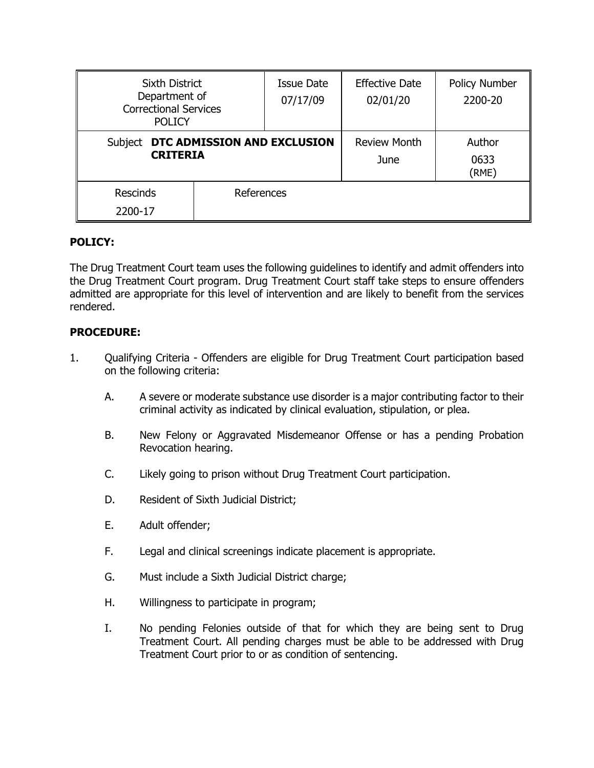| <b>Sixth District</b><br>Department of<br><b>Correctional Services</b><br><b>POLICY</b> |            | <b>Issue Date</b><br>07/17/09 | <b>Effective Date</b><br>02/01/20 | Policy Number<br>2200-20 |
|-----------------------------------------------------------------------------------------|------------|-------------------------------|-----------------------------------|--------------------------|
| DTC ADMISSION AND EXCLUSION<br>Subject<br><b>CRITERIA</b>                               |            | Review Month<br>June          | Author<br>0633<br>(RME)           |                          |
| <b>Rescinds</b><br>2200-17                                                              | References |                               |                                   |                          |

## **POLICY:**

The Drug Treatment Court team uses the following guidelines to identify and admit offenders into the Drug Treatment Court program. Drug Treatment Court staff take steps to ensure offenders admitted are appropriate for this level of intervention and are likely to benefit from the services rendered.

## **PROCEDURE:**

- 1. Qualifying Criteria Offenders are eligible for Drug Treatment Court participation based on the following criteria:
	- A. A severe or moderate substance use disorder is a major contributing factor to their criminal activity as indicated by clinical evaluation, stipulation, or plea.
	- B. New Felony or Aggravated Misdemeanor Offense or has a pending Probation Revocation hearing.
	- C. Likely going to prison without Drug Treatment Court participation.
	- D. Resident of Sixth Judicial District;
	- E. Adult offender;
	- F. Legal and clinical screenings indicate placement is appropriate.
	- G. Must include a Sixth Judicial District charge;
	- H. Willingness to participate in program;
	- I. No pending Felonies outside of that for which they are being sent to Drug Treatment Court. All pending charges must be able to be addressed with Drug Treatment Court prior to or as condition of sentencing.